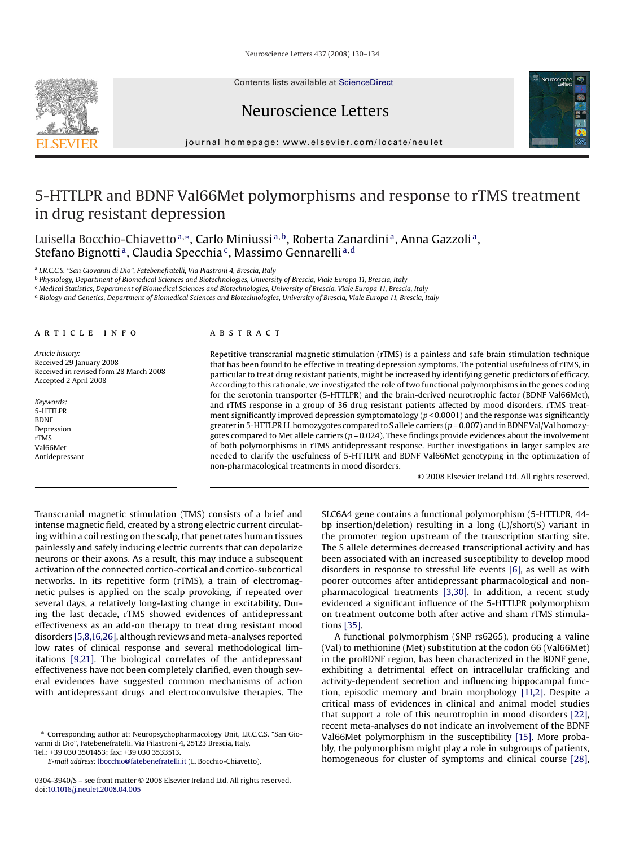Contents lists available at [ScienceDirect](http://www.sciencedirect.com/science/journal/03043940)





journal homepage: www.elsevier.com/locate/neulet

# 5-HTTLPR and BDNF Val66Met polymorphisms and response to rTMS treatment in drug resistant depression

Luisella Bocchio-Chiavetto<sup>a,</sup>\*, Carlo Miniussi<sup>a,b</sup>, Roberta Zanardini<sup>a</sup>, Anna Gazzoli<sup>a</sup>, Stefano Bignotti<sup>a</sup>, Claudia Specchia<sup>c</sup>, Massimo Gennarelli<sup>a,d</sup>

<sup>a</sup> *I.R.C.C.S. "San Giovanni di Dio", Fatebenefratelli, Via Piastroni 4, Brescia, Italy*

<sup>b</sup> *Physiology, Department of Biomedical Sciences and Biotechnologies, University of Brescia, Viale Europa 11, Brescia, Italy*

<sup>c</sup> *Medical Statistics, Department of Biomedical Sciences and Biotechnologies, University of Brescia, Viale Europa 11, Brescia, Italy*

<sup>d</sup> *Biology and Genetics, Department of Biomedical Sciences and Biotechnologies, University of Brescia, Viale Europa 11, Brescia, Italy*

## article info

*Article history:* Received 29 January 2008 Received in revised form 28 March 2008 Accepted 2 April 2008

*Keywords:* 5-HTTLPR BDNF Depression rTMS Val66Met Antidepressant

## **ABSTRACT**

Repetitive transcranial magnetic stimulation (rTMS) is a painless and safe brain stimulation technique that has been found to be effective in treating depression symptoms. The potential usefulness of rTMS, in particular to treat drug resistant patients, might be increased by identifying genetic predictors of efficacy. According to this rationale, we investigated the role of two functional polymorphisms in the genes coding for the serotonin transporter (5-HTTLPR) and the brain-derived neurotrophic factor (BDNF Val66Met), and rTMS response in a group of 36 drug resistant patients affected by mood disorders. rTMS treatment significantly improved depression symptomatology (*p* < 0.0001) and the response was significantly greater in 5-HTTLPR LL homozygotes compared to S allele carriers (*p* = 0.007) and in BDNF Val/Val homozygotes compared to Met allele carriers (*p* = 0.024). These findings provide evidences about the involvement of both polymorphisms in rTMS antidepressant response. Further investigations in larger samples are needed to clarify the usefulness of 5-HTTLPR and BDNF Val66Met genotyping in the optimization of non-pharmacological treatments in mood disorders.

© 2008 Elsevier Ireland Ltd. All rights reserved.

Transcranial magnetic stimulation (TMS) consists of a brief and intense magnetic field, created by a strong electric current circulating within a coil resting on the scalp, that penetrates human tissues painlessly and safely inducing electric currents that can depolarize neurons or their axons. As a result, this may induce a subsequent activation of the connected cortico-cortical and cortico-subcortical networks. In its repetitive form (rTMS), a train of electromagnetic pulses is applied on the scalp provoking, if repeated over several days, a relatively long-lasting change in excitability. During the last decade, rTMS showed evidences of antidepressant effectiveness as an add-on therapy to treat drug resistant mood disorders [\[5,8,16,26\], a](#page-3-0)lthough reviews and meta-analyses reported low rates of clinical response and several methodological limitations [\[9,21\].](#page-3-0) The biological correlates of the antidepressant effectiveness have not been completely clarified, even though several evidences have suggested common mechanisms of action with antidepressant drugs and electroconvulsive therapies. The

Tel.: +39 030 3501453; fax: +39 030 3533513.

SLC6A4 gene contains a functional polymorphism (5-HTTLPR, 44 bp insertion/deletion) resulting in a long (L)/short(S) variant in the promoter region upstream of the transcription starting site. The S allele determines decreased transcriptional activity and has been associated with an increased susceptibility to develop mood disorders in response to stressful life events [\[6\],](#page-3-0) as well as with poorer outcomes after antidepressant pharmacological and nonpharmacological treatments [\[3,30\].](#page-3-0) In addition, a recent study evidenced a significant influence of the 5-HTTLPR polymorphism on treatment outcome both after active and sham rTMS stimulations [\[35\].](#page-4-0)

A functional polymorphism (SNP rs6265), producing a valine (Val) to methionine (Met) substitution at the codon 66 (Val66Met) in the proBDNF region, has been characterized in the BDNF gene, exhibiting a detrimental effect on intracellular trafficking and activity-dependent secretion and influencing hippocampal function, episodic memory and brain morphology [\[11,2\].](#page-3-0) Despite a critical mass of evidences in clinical and animal model studies that support a role of this neurotrophin in mood disorders [\[22\],](#page-4-0) recent meta-analyses do not indicate an involvement of the BDNF Val66Met polymorphism in the susceptibility [\[15\].](#page-3-0) More probably, the polymorphism might play a role in subgroups of patients, homogeneous for cluster of symptoms and clinical course [\[28\],](#page-4-0)



<sup>∗</sup> Corresponding author at: Neuropsychopharmacology Unit, I.R.C.C.S. "San Giovanni di Dio", Fatebenefratelli, Via Pilastroni 4, 25123 Brescia, Italy.

*E-mail address:* [lbocchio@fatebenefratelli.it](mailto:lbocchio@fatebenefratelli.it) (L. Bocchio-Chiavetto).

<sup>0304-3940/\$ –</sup> see front matter © 2008 Elsevier Ireland Ltd. All rights reserved. doi:[10.1016/j.neulet.2008.04.005](dx.doi.org/10.1016/j.neulet.2008.04.005)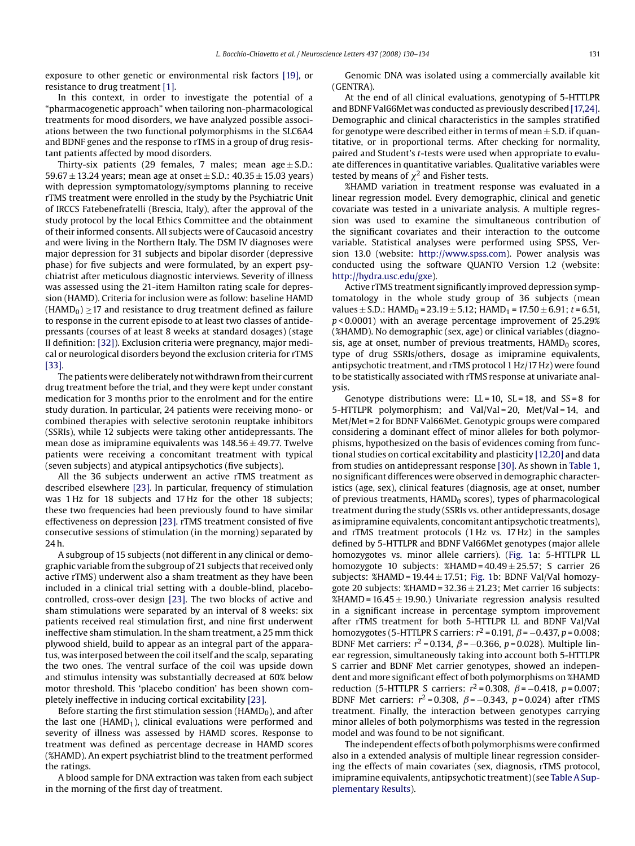exposure to other genetic or environmental risk factors [\[19\],](#page-3-0) or resistance to drug treatment [\[1\].](#page-3-0)

In this context, in order to investigate the potential of a "pharmacogenetic approach" when tailoring non-pharmacological treatments for mood disorders, we have analyzed possible associations between the two functional polymorphisms in the SLC6A4 and BDNF genes and the response to rTMS in a group of drug resistant patients affected by mood disorders.

Thirty-six patients (29 females, 7 males; mean  $age \pm S.D.$ : 59.67  $\pm$  13.24 years; mean age at onset  $\pm$  S.D.: 40.35  $\pm$  15.03 years) with depression symptomatology/symptoms planning to receive rTMS treatment were enrolled in the study by the Psychiatric Unit of IRCCS Fatebenefratelli (Brescia, Italy), after the approval of the study protocol by the local Ethics Committee and the obtainment of their informed consents. All subjects were of Caucasoid ancestry and were living in the Northern Italy. The DSM IV diagnoses were major depression for 31 subjects and bipolar disorder (depressive phase) for five subjects and were formulated, by an expert psychiatrist after meticulous diagnostic interviews. Severity of illness was assessed using the 21-item Hamilton rating scale for depression (HAMD). Criteria for inclusion were as follow: baseline HAMD  $(HAMD<sub>0</sub>) \ge 17$  and resistance to drug treatment defined as failure to response in the current episode to at least two classes of antidepressants (courses of at least 8 weeks at standard dosages) (stage II definition: [\[32\]\).](#page-4-0) Exclusion criteria were pregnancy, major medical or neurological disorders beyond the exclusion criteria for rTMS [\[33\].](#page-4-0)

The patients were deliberately not withdrawn from their current drug treatment before the trial, and they were kept under constant medication for 3 months prior to the enrolment and for the entire study duration. In particular, 24 patients were receiving mono- or combined therapies with selective serotonin reuptake inhibitors (SSRIs), while 12 subjects were taking other antidepressants. The mean dose as imipramine equivalents was  $148.56 \pm 49.77$ . Twelve patients were receiving a concomitant treatment with typical (seven subjects) and atypical antipsychotics (five subjects).

All the 36 subjects underwent an active rTMS treatment as described elsewhere [\[23\].](#page-4-0) In particular, frequency of stimulation was 1 Hz for 18 subjects and 17 Hz for the other 18 subjects; these two frequencies had been previously found to have similar effectiveness on depression [\[23\]. r](#page-4-0)TMS treatment consisted of five consecutive sessions of stimulation (in the morning) separated by 24 h.

A subgroup of 15 subjects (not different in any clinical or demographic variable from the subgroup of 21 subjects that received only active rTMS) underwent also a sham treatment as they have been included in a clinical trial setting with a double-blind, placebocontrolled, cross-over design [\[23\].](#page-4-0) The two blocks of active and sham stimulations were separated by an interval of 8 weeks: six patients received real stimulation first, and nine first underwent ineffective sham stimulation. In the sham treatment, a 25 mm thick plywood shield, build to appear as an integral part of the apparatus, was interposed between the coil itself and the scalp, separating the two ones. The ventral surface of the coil was upside down and stimulus intensity was substantially decreased at 60% below motor threshold. This 'placebo condition' has been shown completely ineffective in inducing cortical excitability [\[23\].](#page-4-0)

Before starting the first stimulation session ( $HAMD<sub>0</sub>$ ), and after the last one ( $HAMD<sub>1</sub>$ ), clinical evaluations were performed and severity of illness was assessed by HAMD scores. Response to treatment was defined as percentage decrease in HAMD scores (%HAMD). An expert psychiatrist blind to the treatment performed the ratings.

A blood sample for DNA extraction was taken from each subject in the morning of the first day of treatment.

Genomic DNA was isolated using a commercially available kit (GENTRA).

At the end of all clinical evaluations, genotyping of 5-HTTLPR and BDNF Val66Met was conducted as previously described [\[17,24\].](#page-3-0) Demographic and clinical characteristics in the samples stratified for genotype were described either in terms of mean  $\pm$  S.D. if quantitative, or in proportional terms. After checking for normality, paired and Student's *t*-tests were used when appropriate to evaluate differences in quantitative variables. Qualitative variables were tested by means of  $\chi^2$  and Fisher tests.

%HAMD variation in treatment response was evaluated in a linear regression model. Every demographic, clinical and genetic covariate was tested in a univariate analysis. A multiple regression was used to examine the simultaneous contribution of the significant covariates and their interaction to the outcome variable. Statistical analyses were performed using SPSS, Version 13.0 (website: [http://www.spss.com\)](http://www.spss.com/). Power analysis was conducted using the software QUANTO Version 1.2 (website: <http://hydra.usc.edu/gxe>).

Active rTMS treatment significantly improved depression symptomatology in the whole study group of 36 subjects (mean values  $\pm$  S.D.: HAMD<sub>0</sub> = 23.19  $\pm$  5.12; HAMD<sub>1</sub> = 17.50  $\pm$  6.91; *t* = 6.51, *p* < 0.0001) with an average percentage improvement of 25.29% (%HAMD). No demographic (sex, age) or clinical variables (diagnosis, age at onset, number of previous treatments,  $HAMD_0$  scores, type of drug SSRIs/others, dosage as imipramine equivalents, antipsychotic treatment, and rTMS protocol 1 Hz/17 Hz) were found to be statistically associated with rTMS response at univariate analysis.

Genotype distributions were:  $LL = 10$ ,  $SL = 18$ , and  $SS = 8$  for 5-HTTLPR polymorphism; and Val/Val = 20, Met/Val = 14, and Met/Met = 2 for BDNF Val66Met. Genotypic groups were compared considering a dominant effect of minor alleles for both polymorphisms, hypothesized on the basis of evidences coming from functional studies on cortical excitability and plasticity [\[12,20\]](#page-3-0) and data from studies on antidepressant response [\[30\]. A](#page-4-0)s shown in [Table 1,](#page-2-0) no significant differences were observed in demographic characteristics (age, sex), clinical features (diagnosis, age at onset, number of previous treatments,  $HAMD<sub>0</sub>$  scores), types of pharmacological treatment during the study (SSRIs vs. other antidepressants, dosage as imipramine equivalents, concomitant antipsychotic treatments), and rTMS treatment protocols (1 Hz vs. 17 Hz) in the samples defined by 5-HTTLPR and BDNF Val66Met genotypes (major allele homozygotes vs. minor allele carriers). [\(Fig. 1a](#page-2-0): 5-HTTLPR LL homozygote 10 subjects:  $\%$ HAMD = 40.49  $\pm$  25.57; S carrier 26 subjects: %HAMD =  $19.44 \pm 17.51$ ; [Fig. 1b](#page-2-0): BDNF Val/Val homozygote 20 subjects:  $\%$ HAMD = 32.36  $\pm$  21.23; Met carrier 16 subjects: %HAMD =  $16.45 \pm 19.90$ .) Univariate regression analysis resulted in a significant increase in percentage symptom improvement after rTMS treatment for both 5-HTTLPR LL and BDNF Val/Val homozygotes (5-HTTLPR S carriers:  $r^2$  = 0.191,  $\beta$  = -0.437,  $p$  = 0.008; BDNF Met carriers:  $r^2 = 0.134$ ,  $\beta = -0.366$ ,  $p = 0.028$ ). Multiple linear regression, simultaneously taking into account both 5-HTTLPR S carrier and BDNF Met carrier genotypes, showed an independent and more significant effect of both polymorphisms on %HAMD reduction (5-HTTLPR S carriers:  $r^2 = 0.308$ ,  $\beta = -0.418$ ,  $p = 0.007$ ; BDNF Met carriers:  $r^2 = 0.308$ ,  $\beta = -0.343$ ,  $p = 0.024$ ) after rTMS treatment. Finally, the interaction between genotypes carrying minor alleles of both polymorphisms was tested in the regression model and was found to be not significant.

The independent effects of both polymorphisms were confirmed also in a extended analysis of multiple linear regression considering the effects of main covariates (sex, diagnosis, rTMS protocol, imipramine equivalents, antipsychotic treatment) (see Table A Supplementary Results).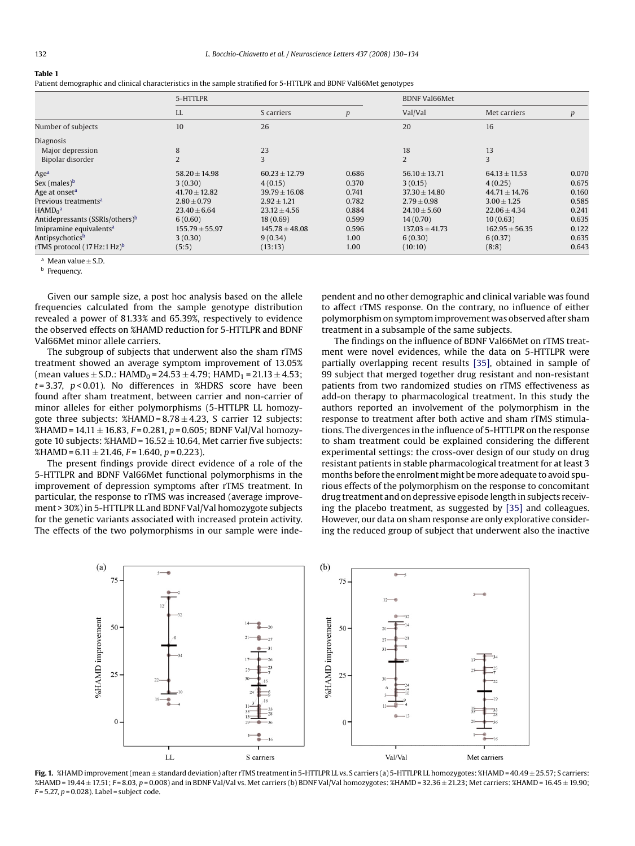#### <span id="page-2-0"></span>**Table 1**

Patient demographic and clinical characteristics in the sample stratified for 5-HTTLPR and BDNF Val66Met genotypes

|                                             | 5-HTTLPR           |                    |       | <b>BDNF Val66Met</b> |                    |       |
|---------------------------------------------|--------------------|--------------------|-------|----------------------|--------------------|-------|
|                                             | <b>LL</b>          | S carriers         | p     | Val/Val              | Met carriers       | p     |
| Number of subjects                          | 10                 | 26                 |       | 20                   | 16                 |       |
| Diagnosis                                   |                    |                    |       |                      |                    |       |
| Major depression                            | 8                  | 23                 |       | 18                   | 13                 |       |
| Bipolar disorder                            |                    | 3                  |       | $\overline{2}$       | 3                  |       |
| Age <sup>a</sup>                            | $58.20 \pm 14.98$  | $60.23 \pm 12.79$  | 0.686 | $56.10 \pm 13.71$    | $64.13 \pm 11.53$  | 0.070 |
| Sex (males) <sup>b</sup>                    | 3(0.30)            | 4(0.15)            | 0.370 | 3(0.15)              | 4(0.25)            | 0.675 |
| Age at onset <sup>a</sup>                   | $41.70 \pm 12.82$  | $39.79 \pm 16.08$  | 0.741 | $37.30 \pm 14.80$    | $44.71 \pm 14.76$  | 0.160 |
| Previous treatments <sup>a</sup>            | $2.80 \pm 0.79$    | $2.92 \pm 1.21$    | 0.782 | $2.79 \pm 0.98$      | $3.00 \pm 1.25$    | 0.585 |
| $HAMD_0^a$                                  | $23.40 \pm 6.64$   | $23.12 \pm 4.56$   | 0.884 | $24.10 \pm 5.60$     | $22.06 \pm 4.34$   | 0.241 |
| Antidepressants (SSRIs/others) <sup>b</sup> | 6(0.60)            | 18(0.69)           | 0.599 | 14(0.70)             | 10(0.63)           | 0.635 |
| Imipramine equivalents <sup>a</sup>         | $155.79 \pm 55.97$ | $145.78 \pm 48.08$ | 0.596 | $137.03 \pm 41.73$   | $162.95 \pm 56.35$ | 0.122 |
| Antipsychotics <sup>b</sup>                 | 3(0.30)            | 9(0.34)            | 1.00  | 6(0.30)              | 6(0.37)            | 0.635 |
| rTMS protocol (17 Hz:1 Hz) <sup>b</sup>     | (5:5)              | (13:13)            | 1.00  | (10:10)              | (8:8)              | 0.643 |

 $a$  Mean value  $+$  S.D.

**b** Frequency.

Given our sample size, a post hoc analysis based on the allele frequencies calculated from the sample genotype distribution revealed a power of 81.33% and 65.39%, respectively to evidence the observed effects on %HAMD reduction for 5-HTTLPR and BDNF Val66Met minor allele carriers.

The subgroup of subjects that underwent also the sham rTMS treatment showed an average symptom improvement of 13.05% (mean values  $\pm$  S.D.: HAMD<sub>0</sub> = 24.53  $\pm$  4.79; HAMD<sub>1</sub> = 21.13  $\pm$  4.53; *t* = 3.37, *p* < 0.01). No differences in %HDRS score have been found after sham treatment, between carrier and non-carrier of minor alleles for either polymorphisms (5-HTTLPR LL homozygote three subjects:  $\frac{\text{MAMD}}{= 8.78 \pm 4.23}$ , S carrier 12 subjects: %HAMD = 14.11 ± 16.83, *F* = 0.281, *p* = 0.605; BDNF Val/Val homozygote 10 subjects:  $\%$ HAMD = 16.52  $\pm$  10.64, Met carrier five subjects: %HAMD = 6.11 ± 21.46, *F* = 1.640, *p* = 0.223).

The present findings provide direct evidence of a role of the 5-HTTLPR and BDNF Val66Met functional polymorphisms in the improvement of depression symptoms after rTMS treatment. In particular, the response to rTMS was increased (average improvement > 30%) in 5-HTTLPR LL and BDNF Val/Val homozygote subjects for the genetic variants associated with increased protein activity. The effects of the two polymorphisms in our sample were independent and no other demographic and clinical variable was found to affect rTMS response. On the contrary, no influence of either polymorphism on symptom improvement was observed after sham treatment in a subsample of the same subjects.

The findings on the influence of BDNF Val66Met on rTMS treatment were novel evidences, while the data on 5-HTTLPR were partially overlapping recent results [\[35\],](#page-4-0) obtained in sample of 99 subject that merged together drug resistant and non-resistant patients from two randomized studies on rTMS effectiveness as add-on therapy to pharmacological treatment. In this study the authors reported an involvement of the polymorphism in the response to treatment after both active and sham rTMS stimulations. The divergences in the influence of 5-HTTLPR on the response to sham treatment could be explained considering the different experimental settings: the cross-over design of our study on drug resistant patients in stable pharmacological treatment for at least 3 months before the enrolment might be more adequate to avoid spurious effects of the polymorphism on the response to concomitant drug treatment and on depressive episode length in subjects receiving the placebo treatment, as suggested by [\[35\]](#page-4-0) and colleagues. However, our data on sham response are only explorative considering the reduced group of subject that underwent also the inactive



**Fig. 1.** %HAMD improvement (mean ± standard deviation) after rTMS treatment in 5-HTTLPR LL vs. S carriers (a) 5-HTTLPR LL homozygotes: %HAMD = 40.49 ± 25.57; S carriers: %HAMD = 19.44 ± 17.51; *F* = 8.03, *p* = 0.008) and in BDNF Val/Val vs. Met carriers (b) BDNF Val/Val homozygotes: %HAMD = 32.36 ± 21.23; Met carriers: %HAMD = 16.45 ± 19.90; *F* = 5.27, *p* = 0.028). Label = subject code.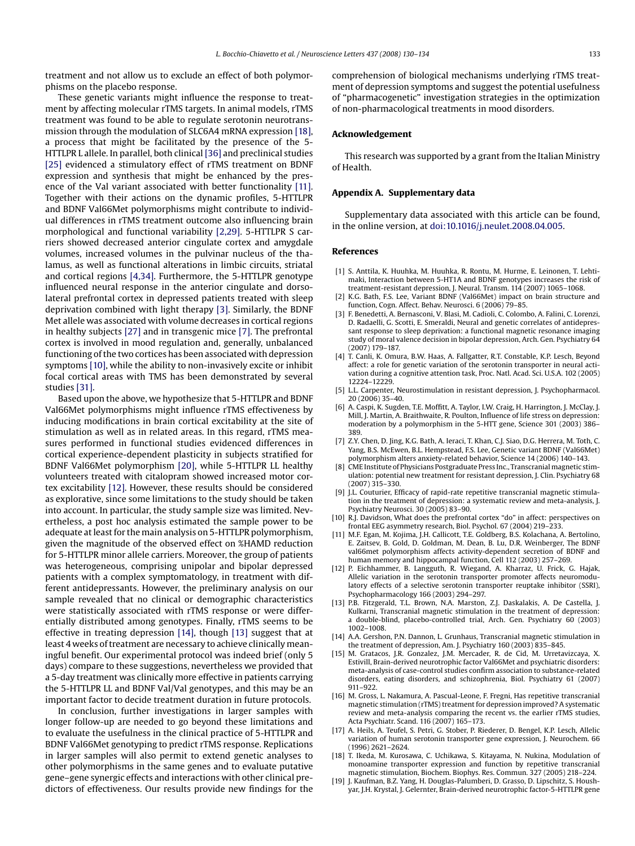<span id="page-3-0"></span>treatment and not allow us to exclude an effect of both polymorphisms on the placebo response.

These genetic variants might influence the response to treatment by affecting molecular rTMS targets. In animal models, rTMS treatment was found to be able to regulate serotonin neurotransmission through the modulation of SLC6A4 mRNA expression [18], a process that might be facilitated by the presence of the 5- HTTLPR L allele. In parallel, both clinical [\[36\]](#page-4-0) and preclinical studies [\[25\]](#page-4-0) evidenced a stimulatory effect of rTMS treatment on BDNF expression and synthesis that might be enhanced by the presence of the Val variant associated with better functionality [11]. Together with their actions on the dynamic profiles, 5-HTTLPR and BDNF Val66Met polymorphisms might contribute to individual differences in rTMS treatment outcome also influencing brain morphological and functional variability [2,29]. 5-HTTLPR S carriers showed decreased anterior cingulate cortex and amygdale volumes, increased volumes in the pulvinar nucleus of the thalamus, as well as functional alterations in limbic circuits, striatal and cortical regions [4,34]. Furthermore, the 5-HTTLPR genotype influenced neural response in the anterior cingulate and dorsolateral prefrontal cortex in depressed patients treated with sleep deprivation combined with light therapy [3]. Similarly, the BDNF Met allele was associated with volume decreases in cortical regions in healthy subjects [\[27\]](#page-4-0) and in transgenic mice [7]. The prefrontal cortex is involved in mood regulation and, generally, unbalanced functioning of the two cortices has been associated with depression symptoms [10], while the ability to non-invasively excite or inhibit focal cortical areas with TMS has been demonstrated by several studies [\[31\].](#page-4-0)

Based upon the above, we hypothesize that 5-HTTLPR and BDNF Val66Met polymorphisms might influence rTMS effectiveness by inducing modifications in brain cortical excitability at the site of stimulation as well as in related areas. In this regard, rTMS measures performed in functional studies evidenced differences in cortical experience-dependent plasticity in subjects stratified for BDNF Val66Met polymorphism [\[20\],](#page-4-0) while 5-HTTLPR LL healthy volunteers treated with citalopram showed increased motor cortex excitability [12]. However, these results should be considered as explorative, since some limitations to the study should be taken into account. In particular, the study sample size was limited. Nevertheless, a post hoc analysis estimated the sample power to be adequate at least for the main analysis on 5-HTTLPR polymorphism, given the magnitude of the observed effect on %HAMD reduction for 5-HTTLPR minor allele carriers. Moreover, the group of patients was heterogeneous, comprising unipolar and bipolar depressed patients with a complex symptomatology, in treatment with different antidepressants. However, the preliminary analysis on our sample revealed that no clinical or demographic characteristics were statistically associated with rTMS response or were differentially distributed among genotypes. Finally, rTMS seems to be effective in treating depression [14], though [13] suggest that at least 4 weeks of treatment are necessary to achieve clinically meaningful benefit. Our experimental protocol was indeed brief (only 5 days) compare to these suggestions, nevertheless we provided that a 5-day treatment was clinically more effective in patients carrying the 5-HTTLPR LL and BDNF Val/Val genotypes, and this may be an important factor to decide treatment duration in future protocols.

In conclusion, further investigations in larger samples with longer follow-up are needed to go beyond these limitations and to evaluate the usefulness in the clinical practice of 5-HTTLPR and BDNF Val66Met genotyping to predict rTMS response. Replications in larger samples will also permit to extend genetic analyses to other polymorphisms in the same genes and to evaluate putative gene–gene synergic effects and interactions with other clinical predictors of effectiveness. Our results provide new findings for the comprehension of biological mechanisms underlying rTMS treatment of depression symptoms and suggest the potential usefulness of "pharmacogenetic" investigation strategies in the optimization of non-pharmacological treatments in mood disorders.

### **Acknowledgement**

This research was supported by a grant from the Italian Ministry of Health.

## **Appendix A. Supplementary data**

Supplementary data associated with this article can be found, in the online version, at [doi:10.1016/j.neulet.2008.04.005.](http://dx.doi.org/10.1016/j.neulet.2008.04.005)

## **References**

- [1] S. Anttila, K. Huuhka, M. Huuhka, R. Rontu, M. Hurme, E. Leinonen, T. Lehtimaki, Interaction between 5-HT1A and BDNF genotypes increases the risk of treatment-resistant depression, J. Neural. Transm. 114 (2007) 1065–1068.
- [2] K.G. Bath, F.S. Lee, Variant BDNF (Val66Met) impact on brain structure and function, Cogn. Affect. Behav. Neurosci. 6 (2006) 79–85.
- [3] F. Benedetti, A. Bernasconi, V. Blasi, M. Cadioli, C. Colombo, A. Falini, C. Lorenzi, D. Radaelli, G. Scotti, E. Smeraldi, Neural and genetic correlates of antidepressant response to sleep deprivation: a functional magnetic resonance imaging study of moral valence decision in bipolar depression, Arch. Gen. Psychiatry 64 (2007) 179–187.
- [4] T. Canli, K. Omura, B.W. Haas, A. Fallgatter, R.T. Constable, K.P. Lesch, Beyond affect: a role for genetic variation of the serotonin transporter in neural activation during a cognitive attention task, Proc. Natl. Acad. Sci. U.S.A. 102 (2005) 12224–12229.
- [5] L.L. Carpenter, Neurostimulation in resistant depression, J. Psychopharmacol. 20 (2006) 35–40.
- [6] A. Caspi, K. Sugden, T.E. Moffitt, A. Taylor, I.W. Craig, H. Harrington, J. McClay, J. Mill, J. Martin, A. Braithwaite, R. Poulton, Influence of life stress on depression: moderation by a polymorphism in the 5-HTT gene, Science 301 (2003) 386– 389.
- [7] Z.Y. Chen, D. Jing, K.G. Bath, A. Ieraci, T. Khan, C.J. Siao, D.G. Herrera, M. Toth, C. Yang, B.S. McEwen, B.L. Hempstead, F.S. Lee, Genetic variant BDNF (Val66Met) polymorphism alters anxiety-related behavior, Science 14 (2006) 140–143.
- [8] CME Institute of Physicians Postgraduate Press Inc., Transcranialmagnetic stimulation: potential new treatment for resistant depression, J. Clin. Psychiatry 68 (2007) 315–330.
- [9] J.L. Couturier, Efficacy of rapid-rate repetitive transcranial magnetic stimulation in the treatment of depression: a systematic review and meta-analysis, J. Psychiatry Neurosci. 30 (2005) 83–90.
- [10] R.J. Davidson, What does the prefrontal cortex "do" in affect: perspectives on frontal EEG asymmetry research, Biol. Psychol. 67 (2004) 219–233.
- [11] M.F. Egan, M. Kojima, J.H. Callicott, T.E. Goldberg, B.S. Kolachana, A. Bertolino, E. Zaitsev, B. Gold, D. Goldman, M. Dean, B. Lu, D.R. Weinberger, The BDNF val66met polymorphism affects activity-dependent secretion of BDNF and human memory and hippocampal function, Cell 112 (2003) 257–269.
- [12] P. Eichhammer, B. Langguth, R. Wiegand, A. Kharraz, U. Frick, G. Hajak, Allelic variation in the serotonin transporter promoter affects neuromodulatory effects of a selective serotonin transporter reuptake inhibitor (SSRI), Psychopharmacology 166 (2003) 294–297.
- [13] P.B. Fitzgerald, T.L. Brown, N.A. Marston, Z.J. Daskalakis, A. De Castella, J. Kulkarni, Transcranial magnetic stimulation in the treatment of depression: a double-blind, placebo-controlled trial, Arch. Gen. Psychiatry 60 (2003) 1002–1008.
- [14] A.A. Gershon, P.N. Dannon, L. Grunhaus, Transcranial magnetic stimulation in the treatment of depression, Am. J. Psychiatry 160 (2003) 835–845.
- M. Gratacos, J.R. Gonzalez, J.M. Mercader, R. de Cid, M. Urretavizcaya, X. Estivill, Brain-derived neurotrophic factor Val66Met and psychiatric disorders: meta-analysis of case-control studies confirm association to substance-related disorders, eating disorders, and schizophrenia, Biol. Psychiatry 61 (2007) 911–922.
- [16] M. Gross, L. Nakamura, A. Pascual-Leone, F. Fregni, Has repetitive transcranial magnetic stimulation (rTMS) treatment for depression improved? A systematic review and meta-analysis comparing the recent vs. the earlier rTMS studies, Acta Psychiatr. Scand. 116 (2007) 165–173.
- [17] A. Heils, A. Teufel, S. Petri, G. Stober, P. Riederer, D. Bengel, K.P. Lesch, Allelic variation of human serotonin transporter gene expression, J. Neurochem. 66 (1996) 2621–2624.
- [18] T. Ikeda, M. Kurosawa, C. Uchikawa, S. Kitayama, N. Nukina, Modulation of monoamine transporter expression and function by repetitive transcranial magnetic stimulation, Biochem. Biophys. Res. Commun. 327 (2005) 218–224.
- [19] J. Kaufman, B.Z. Yang, H. Douglas-Palumberi, D. Grasso, D. Lipschitz, S. Houshyar, J.H. Krystal, J. Gelernter, Brain-derived neurotrophic factor-5-HTTLPR gene